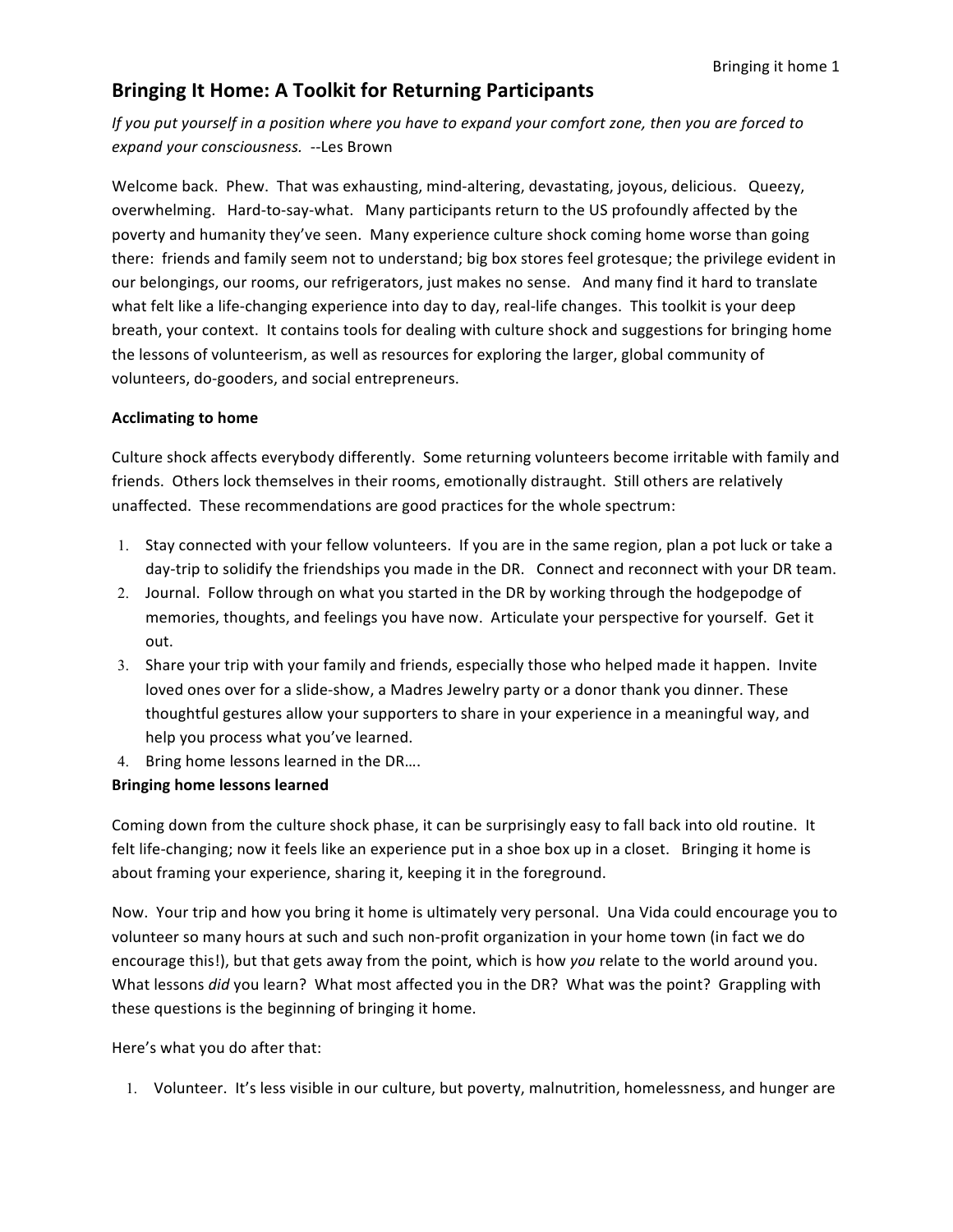## **Bringing It Home: A Toolkit for Returning Participants**

*If* you put yourself in a position where you have to expand your comfort zone, then you are forced to *expand your consciousness.* --Les Brown

Welcome back. Phew. That was exhausting, mind-altering, devastating, joyous, delicious. Queezy, overwhelming. Hard-to-say-what. Many participants return to the US profoundly affected by the poverty and humanity they've seen. Many experience culture shock coming home worse than going there: friends and family seem not to understand; big box stores feel grotesque; the privilege evident in our belongings, our rooms, our refrigerators, just makes no sense. And many find it hard to translate what felt like a life-changing experience into day to day, real-life changes. This toolkit is your deep breath, your context. It contains tools for dealing with culture shock and suggestions for bringing home the lessons of volunteerism, as well as resources for exploring the larger, global community of volunteers, do-gooders, and social entrepreneurs.

### **Acclimating to home**

Culture shock affects everybody differently. Some returning volunteers become irritable with family and friends. Others lock themselves in their rooms, emotionally distraught. Still others are relatively unaffected. These recommendations are good practices for the whole spectrum:

- 1. Stay connected with your fellow volunteers. If you are in the same region, plan a pot luck or take a day-trip to solidify the friendships you made in the DR. Connect and reconnect with your DR team.
- 2. Journal. Follow through on what you started in the DR by working through the hodgepodge of memories, thoughts, and feelings you have now. Articulate your perspective for yourself. Get it out.
- 3. Share your trip with your family and friends, especially those who helped made it happen. Invite loved ones over for a slide-show, a Madres Jewelry party or a donor thank you dinner. These thoughtful gestures allow your supporters to share in your experience in a meaningful way, and help you process what you've learned.
- 4. Bring home lessons learned in the DR....

### **Bringing home lessons learned**

Coming down from the culture shock phase, it can be surprisingly easy to fall back into old routine. It felt life-changing; now it feels like an experience put in a shoe box up in a closet. Bringing it home is about framing your experience, sharing it, keeping it in the foreground.

Now. Your trip and how you bring it home is ultimately very personal. Una Vida could encourage you to volunteer so many hours at such and such non-profit organization in your home town (in fact we do encourage this!), but that gets away from the point, which is how *you* relate to the world around you. What lessons *did* you learn? What most affected you in the DR? What was the point? Grappling with these questions is the beginning of bringing it home.

Here's what you do after that:

1. Volunteer. It's less visible in our culture, but poverty, malnutrition, homelessness, and hunger are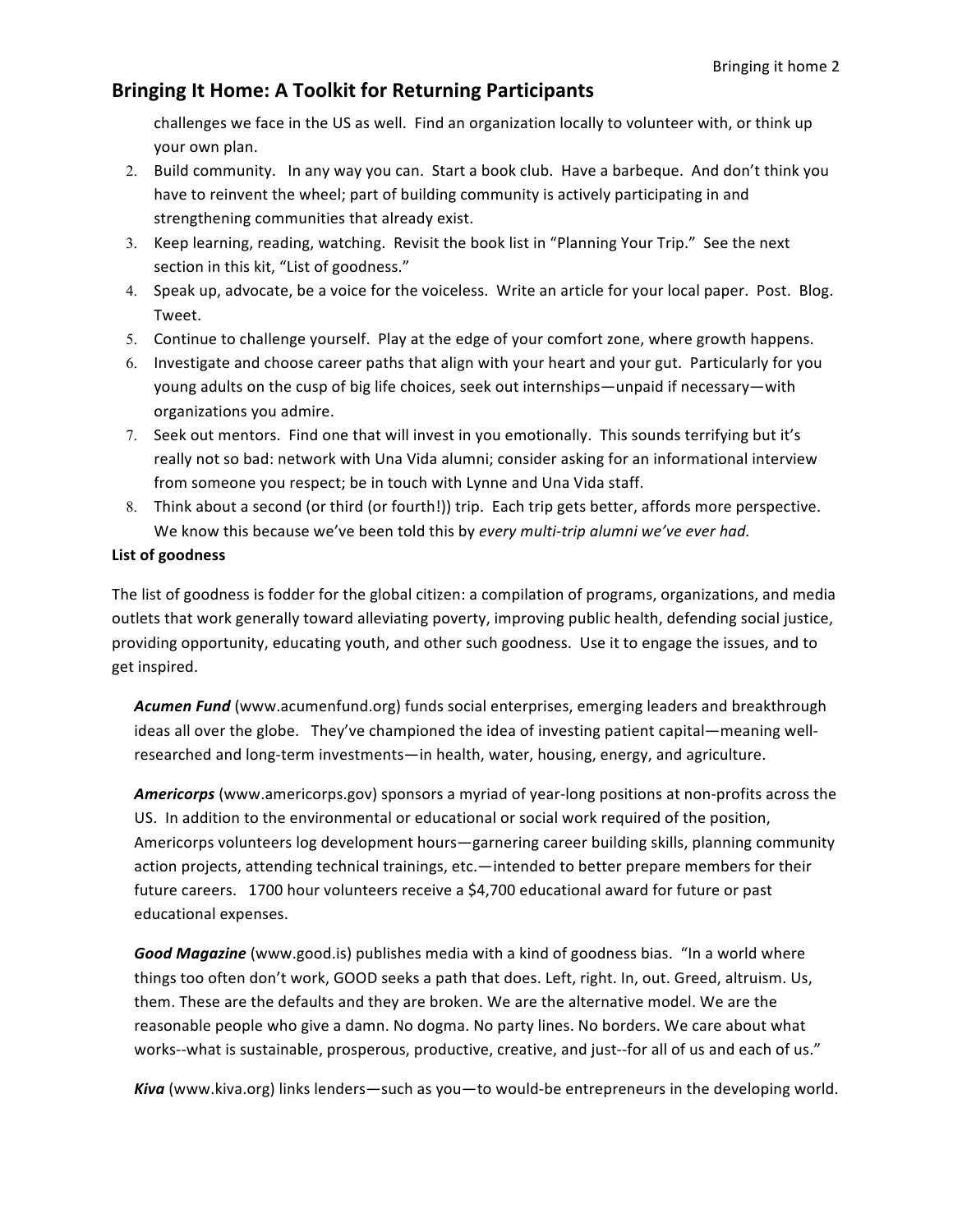## **Bringing It Home: A Toolkit for Returning Participants**

challenges we face in the US as well. Find an organization locally to volunteer with, or think up your own plan.

- 2. Build community. In any way you can. Start a book club. Have a barbeque. And don't think you have to reinvent the wheel; part of building community is actively participating in and strengthening communities that already exist.
- 3. Keep learning, reading, watching. Revisit the book list in "Planning Your Trip." See the next section in this kit, "List of goodness."
- 4. Speak up, advocate, be a voice for the voiceless. Write an article for your local paper. Post. Blog. Tweet.
- 5. Continue to challenge yourself. Play at the edge of your comfort zone, where growth happens.
- 6. Investigate and choose career paths that align with your heart and your gut. Particularly for you young adults on the cusp of big life choices, seek out internships—unpaid if necessary—with organizations you admire.
- 7. Seek out mentors. Find one that will invest in you emotionally. This sounds terrifying but it's really not so bad: network with Una Vida alumni; consider asking for an informational interview from someone you respect; be in touch with Lynne and Una Vida staff.
- 8. Think about a second (or third (or fourth!)) trip. Each trip gets better, affords more perspective. We know this because we've been told this by *every multi-trip alumni we've ever had.*

### **List of goodness**

The list of goodness is fodder for the global citizen: a compilation of programs, organizations, and media outlets that work generally toward alleviating poverty, improving public health, defending social justice, providing opportunity, educating youth, and other such goodness. Use it to engage the issues, and to get inspired.

Acumen Fund (www.acumenfund.org) funds social enterprises, emerging leaders and breakthrough ideas all over the globe. They've championed the idea of investing patient capital—meaning wellresearched and long-term investments—in health, water, housing, energy, and agriculture.

Americorps (www.americorps.gov) sponsors a myriad of year-long positions at non-profits across the US. In addition to the environmental or educational or social work required of the position, Americorps volunteers log development hours—garnering career building skills, planning community action projects, attending technical trainings, etc.—intended to better prepare members for their future careers. 1700 hour volunteers receive a \$4,700 educational award for future or past educational expenses.

Good Magazine (www.good.is) publishes media with a kind of goodness bias. "In a world where things too often don't work, GOOD seeks a path that does. Left, right. In, out. Greed, altruism. Us, them. These are the defaults and they are broken. We are the alternative model. We are the reasonable people who give a damn. No dogma. No party lines. No borders. We care about what works--what is sustainable, prosperous, productive, creative, and just--for all of us and each of us."

**Kiva** (www.kiva.org) links lenders—such as you—to would-be entrepreneurs in the developing world.